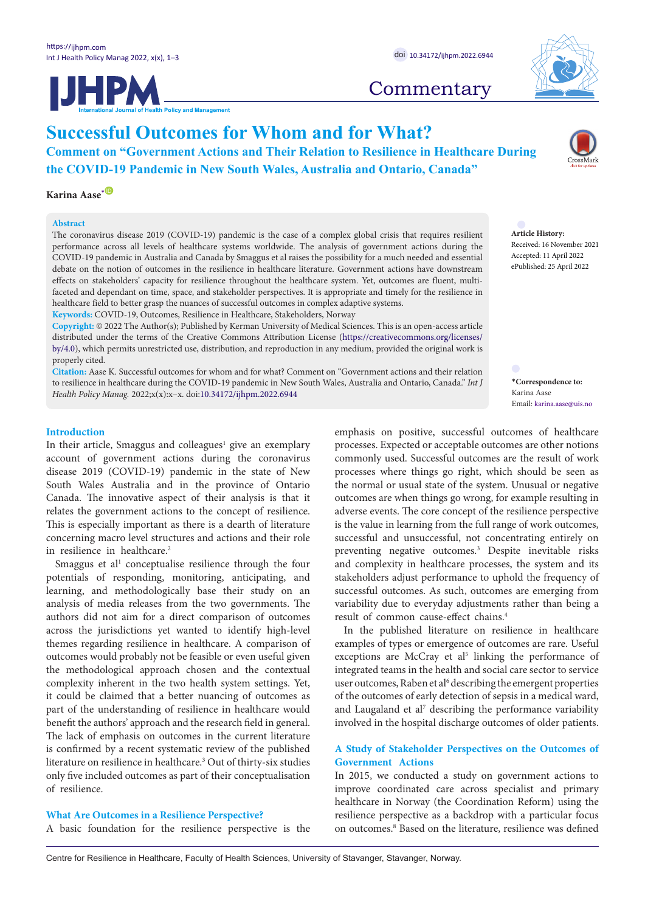**Successful Outcomes for Whom and for What?**

**Comment on "Government Actions and Their Relation to Resilience in Healthcare During the COVID-19 Pandemic in New South Wales, Australia and Ontario, Canada"**

# **Karina Aase**<sup>[\\*](#page-0-0)</sub> **D**</sup>

#### **Abstract**

The coronavirus disease 2019 (COVID-19) pandemic is the case of a complex global crisis that requires resilient performance across all levels of healthcare systems worldwide. The analysis of government actions during the COVID-19 pandemic in Australia and Canada by Smaggus et al raises the possibility for a much needed and essential debate on the notion of outcomes in the resilience in healthcare literature. Government actions have downstream effects on stakeholders' capacity for resilience throughout the healthcare system. Yet, outcomes are fluent, multifaceted and dependant on time, space, and stakeholder perspectives. It is appropriate and timely for the resilience in healthcare field to better grasp the nuances of successful outcomes in complex adaptive systems. **Keywords:** COVID-19, Outcomes, Resilience in Healthcare, Stakeholders, Norway

**Copyright:** © 2022 The Author(s); Published by Kerman University of Medical Sciences. This is an open-access article distributed under the terms of the Creative Commons Attribution License [\(https://creativecommons.org/licenses/](https://creativecommons.org/licenses/by/4.0/) [by/4.0](https://creativecommons.org/licenses/by/4.0/)), which permits unrestricted use, distribution, and reproduction in any medium, provided the original work is properly cited.

**Citation:** Aase K. Successful outcomes for whom and for what? Comment on "Government actions and their relation to resilience in healthcare during the COVID-19 pandemic in New South Wales, Australia and Ontario, Canada." *Int J Health Policy Manag.* 2022;x(x):x–x. doi:[10.34172/ijhpm.2022.6944](https://doi.org/10.34172/ijhpm.2022.6944)

#### **Introduction**

In their article, Smaggus and colleagues<sup>1</sup> give an exemplary account of government actions during the coronavirus disease 2019 (COVID-19) pandemic in the state of New South Wales Australia and in the province of Ontario Canada. The innovative aspect of their analysis is that it relates the government actions to the concept of resilience. This is especially important as there is a dearth of literature concerning macro level structures and actions and their role in resilience in healthcare.<sup>2</sup>

Smaggus et al<sup>1</sup> conceptualise resilience through the four potentials of responding, monitoring, anticipating, and learning, and methodologically base their study on an analysis of media releases from the two governments. The authors did not aim for a direct comparison of outcomes across the jurisdictions yet wanted to identify high-level themes regarding resilience in healthcare. A comparison of outcomes would probably not be feasible or even useful given the methodological approach chosen and the contextual complexity inherent in the two health system settings. Yet, it could be claimed that a better nuancing of outcomes as part of the understanding of resilience in healthcare would benefit the authors' approach and the research field in general. The lack of emphasis on outcomes in the current literature is confirmed by a recent systematic review of the published literature on resilience in healthcare.3 Out of thirty-six studies only five included outcomes as part of their conceptualisation of resilience.

#### **What Are Outcomes in a Resilience Perspective?**

A basic foundation for the resilience perspective is the

Centre for Resilience in Healthcare, Faculty of Health Sciences, University of Stavanger, Stavanger, Norway.

**Commentary** 

Received: 16 November 2021 Accepted: 11 April 2022 ePublished: 25 April 2022

<span id="page-0-0"></span>**\*Correspondence to:** Karina Aase Email: karina.aase@uis.no

emphasis on positive, successful outcomes of healthcare processes. Expected or acceptable outcomes are other notions commonly used. Successful outcomes are the result of work processes where things go right, which should be seen as the normal or usual state of the system. Unusual or negative outcomes are when things go wrong, for example resulting in adverse events. The core concept of the resilience perspective is the value in learning from the full range of work outcomes, successful and unsuccessful, not concentrating entirely on preventing negative outcomes.3 Despite inevitable risks and complexity in healthcare processes, the system and its stakeholders adjust performance to uphold the frequency of successful outcomes. As such, outcomes are emerging from variability due to everyday adjustments rather than being a result of common cause-effect chains.4

In the published literature on resilience in healthcare examples of types or emergence of outcomes are rare. Useful exceptions are McCray et al<sup>5</sup> linking the performance of integrated teams in the health and social care sector to service user outcomes, Raben et al<sup>6</sup> describing the emergent properties of the outcomes of early detection of sepsis in a medical ward, and Laugaland et al<sup>7</sup> describing the performance variability involved in the hospital discharge outcomes of older patients.

### **A Study of Stakeholder Perspectives on the Outcomes of Government Actions**

In 2015, we conducted a study on government actions to improve coordinated care across specialist and primary healthcare in Norway (the Coordination Reform) using the resilience perspective as a backdrop with a particular focus on outcomes.<sup>8</sup> Based on the literature, resilience was defined





# **Article History:**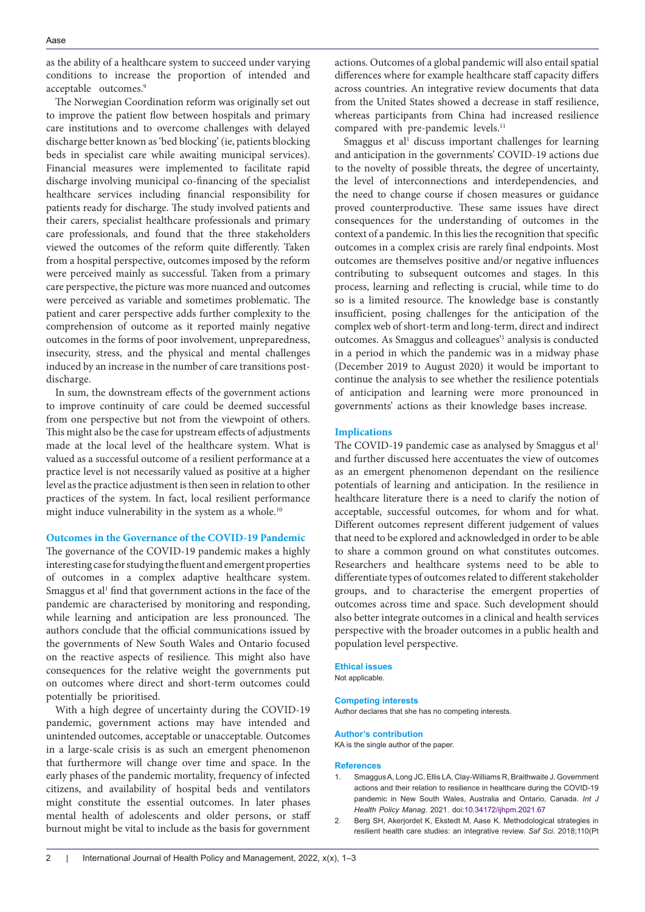as the ability of a healthcare system to succeed under varying conditions to increase the proportion of intended and acceptable outcomes.<sup>9</sup>

The Norwegian Coordination reform was originally set out to improve the patient flow between hospitals and primary care institutions and to overcome challenges with delayed discharge better known as 'bed blocking' (ie, patients blocking beds in specialist care while awaiting municipal services). Financial measures were implemented to facilitate rapid discharge involving municipal co-financing of the specialist healthcare services including financial responsibility for patients ready for discharge. The study involved patients and their carers, specialist healthcare professionals and primary care professionals, and found that the three stakeholders viewed the outcomes of the reform quite differently. Taken from a hospital perspective, outcomes imposed by the reform were perceived mainly as successful. Taken from a primary care perspective, the picture was more nuanced and outcomes were perceived as variable and sometimes problematic. The patient and carer perspective adds further complexity to the comprehension of outcome as it reported mainly negative outcomes in the forms of poor involvement, unpreparedness, insecurity, stress, and the physical and mental challenges induced by an increase in the number of care transitions postdischarge.

In sum, the downstream effects of the government actions to improve continuity of care could be deemed successful from one perspective but not from the viewpoint of others. This might also be the case for upstream effects of adjustments made at the local level of the healthcare system. What is valued as a successful outcome of a resilient performance at a practice level is not necessarily valued as positive at a higher level as the practice adjustment is then seen in relation to other practices of the system. In fact, local resilient performance might induce vulnerability in the system as a whole.<sup>10</sup>

#### **Outcomes in the Governance of the COVID-19 Pandemic**

The governance of the COVID-19 pandemic makes a highly interesting case for studying the fluent and emergent properties of outcomes in a complex adaptive healthcare system. Smaggus et al<sup>1</sup> find that government actions in the face of the pandemic are characterised by monitoring and responding, while learning and anticipation are less pronounced. The authors conclude that the official communications issued by the governments of New South Wales and Ontario focused on the reactive aspects of resilience. This might also have consequences for the relative weight the governments put on outcomes where direct and short-term outcomes could potentially be prioritised.

With a high degree of uncertainty during the COVID-19 pandemic, government actions may have intended and unintended outcomes, acceptable or unacceptable. Outcomes in a large-scale crisis is as such an emergent phenomenon that furthermore will change over time and space. In the early phases of the pandemic mortality, frequency of infected citizens, and availability of hospital beds and ventilators might constitute the essential outcomes. In later phases mental health of adolescents and older persons, or staff burnout might be vital to include as the basis for government actions. Outcomes of a global pandemic will also entail spatial differences where for example healthcare staff capacity differs across countries. An integrative review documents that data from the United States showed a decrease in staff resilience, whereas participants from China had increased resilience compared with pre-pandemic levels.<sup>11</sup>

Smaggus et al<sup>1</sup> discuss important challenges for learning and anticipation in the governments' COVID-19 actions due to the novelty of possible threats, the degree of uncertainty, the level of interconnections and interdependencies, and the need to change course if chosen measures or guidance proved counterproductive. These same issues have direct consequences for the understanding of outcomes in the context of a pandemic. In this lies the recognition that specific outcomes in a complex crisis are rarely final endpoints. Most outcomes are themselves positive and/or negative influences contributing to subsequent outcomes and stages. In this process, learning and reflecting is crucial, while time to do so is a limited resource. The knowledge base is constantly insufficient, posing challenges for the anticipation of the complex web of short-term and long-term, direct and indirect outcomes. As Smaggus and colleagues<sup>21</sup> analysis is conducted in a period in which the pandemic was in a midway phase (December 2019 to August 2020) it would be important to continue the analysis to see whether the resilience potentials of anticipation and learning were more pronounced in governments' actions as their knowledge bases increase.

#### **Implications**

The COVID-19 pandemic case as analysed by Smaggus et al<sup>1</sup> and further discussed here accentuates the view of outcomes as an emergent phenomenon dependant on the resilience potentials of learning and anticipation. In the resilience in healthcare literature there is a need to clarify the notion of acceptable, successful outcomes, for whom and for what. Different outcomes represent different judgement of values that need to be explored and acknowledged in order to be able to share a common ground on what constitutes outcomes. Researchers and healthcare systems need to be able to differentiate types of outcomes related to different stakeholder groups, and to characterise the emergent properties of outcomes across time and space. Such development should also better integrate outcomes in a clinical and health services perspective with the broader outcomes in a public health and population level perspective.

## **Ethical issues**

Not applicable.

#### **Competing interests**

Author declares that she has no competing interests.

#### **Author's contribution**

KA is the single author of the paper.

#### **References**

- 1. Smaggus A, Long JC, Ellis LA, Clay-Williams R, Braithwaite J. Government actions and their relation to resilience in healthcare during the COVID-19 pandemic in New South Wales, Australia and Ontario, Canada. *Int J Health Policy Manag*. 2021. doi:[10.34172/ijhpm.2021.67](https://doi.org/10.34172/ijhpm.2021.67)
- 2. Berg SH, Akerjordet K, Ekstedt M, Aase K. Methodological strategies in resilient health care studies: an integrative review. *Saf Sci*. 2018;110(Pt